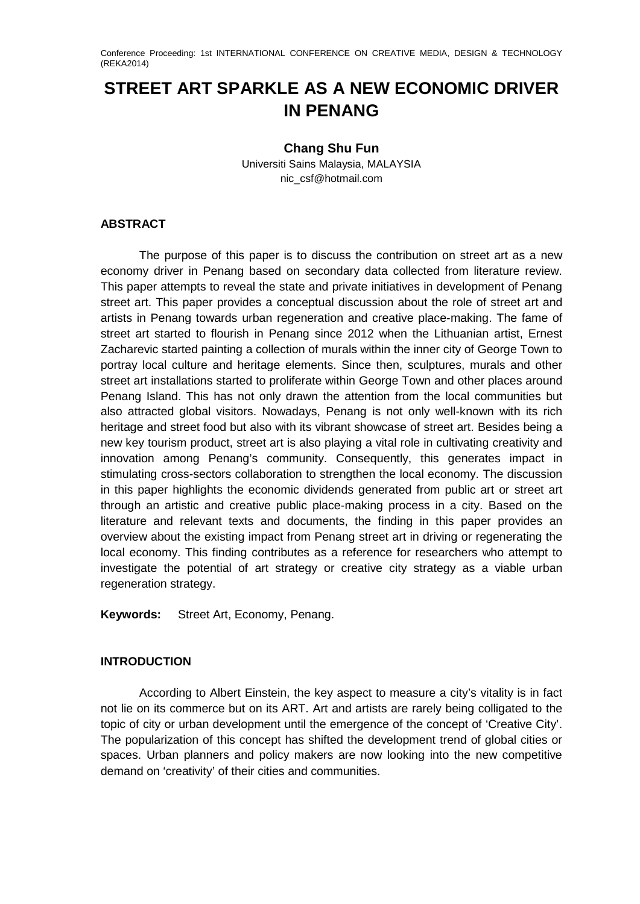Conference Proceeding: 1st INTERNATIONAL CONFERENCE ON CREATIVE MEDIA, DESIGN & TECHNOLOGY (REKA2014)

# **STREET ART SPARKLE AS A NEW ECONOMIC DRIVER IN PENANG**

## **Chang Shu Fun**

Universiti Sains Malaysia, MALAYSIA nic\_csf@hotmail.com

### **ABSTRACT**

The purpose of this paper is to discuss the contribution on street art as a new economy driver in Penang based on secondary data collected from literature review. This paper attempts to reveal the state and private initiatives in development of Penang street art. This paper provides a conceptual discussion about the role of street art and artists in Penang towards urban regeneration and creative place-making. The fame of street art started to flourish in Penang since 2012 when the Lithuanian artist, Ernest Zacharevic started painting a collection of murals within the inner city of George Town to portray local culture and heritage elements. Since then, sculptures, murals and other street art installations started to proliferate within George Town and other places around Penang Island. This has not only drawn the attention from the local communities but also attracted global visitors. Nowadays, Penang is not only well-known with its rich heritage and street food but also with its vibrant showcase of street art. Besides being a new key tourism product, street art is also playing a vital role in cultivating creativity and innovation among Penang's community. Consequently, this generates impact in stimulating cross-sectors collaboration to strengthen the local economy. The discussion in this paper highlights the economic dividends generated from public art or street art through an artistic and creative public place-making process in a city. Based on the literature and relevant texts and documents, the finding in this paper provides an overview about the existing impact from Penang street art in driving or regenerating the local economy. This finding contributes as a reference for researchers who attempt to investigate the potential of art strategy or creative city strategy as a viable urban regeneration strategy.

**Keywords:** Street Art, Economy, Penang.

## **INTRODUCTION**

According to Albert Einstein, the key aspect to measure a city's vitality is in fact not lie on its commerce but on its ART. Art and artists are rarely being colligated to the topic of city or urban development until the emergence of the concept of 'Creative City'. The popularization of this concept has shifted the development trend of global cities or spaces. Urban planners and policy makers are now looking into the new competitive demand on 'creativity' of their cities and communities.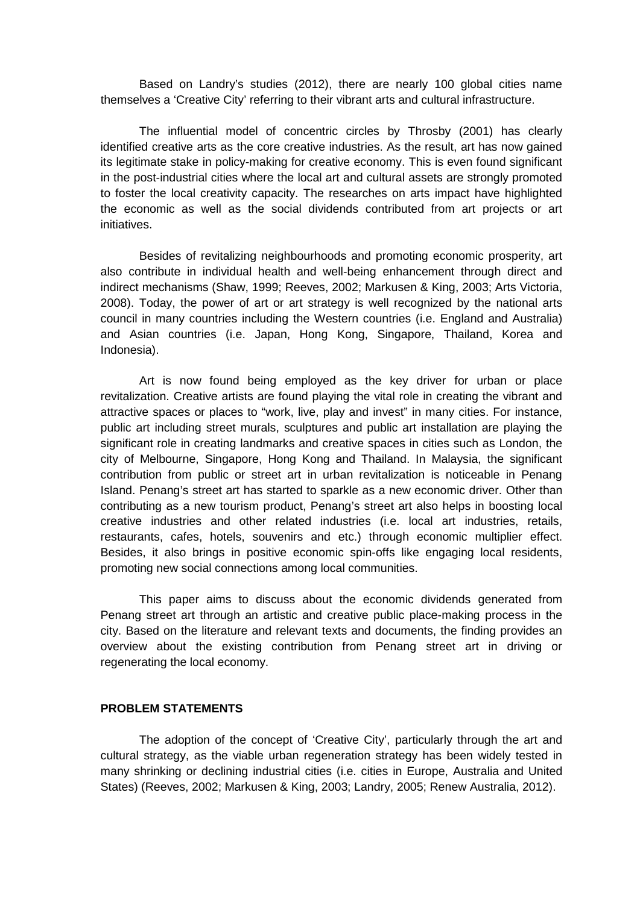Based on Landry's studies (2012), there are nearly 100 global cities name themselves a 'Creative City' referring to their vibrant arts and cultural infrastructure.

The influential model of concentric circles by Throsby (2001) has clearly identified creative arts as the core creative industries. As the result, art has now gained its legitimate stake in policy-making for creative economy. This is even found significant in the post-industrial cities where the local art and cultural assets are strongly promoted to foster the local creativity capacity. The researches on arts impact have highlighted the economic as well as the social dividends contributed from art projects or art initiatives.

Besides of revitalizing neighbourhoods and promoting economic prosperity, art also contribute in individual health and well-being enhancement through direct and indirect mechanisms (Shaw, 1999; Reeves, 2002; Markusen & King, 2003; Arts Victoria, 2008). Today, the power of art or art strategy is well recognized by the national arts council in many countries including the Western countries (i.e. England and Australia) and Asian countries (i.e. Japan, Hong Kong, Singapore, Thailand, Korea and Indonesia).

Art is now found being employed as the key driver for urban or place revitalization. Creative artists are found playing the vital role in creating the vibrant and attractive spaces or places to "work, live, play and invest" in many cities. For instance, public art including street murals, sculptures and public art installation are playing the significant role in creating landmarks and creative spaces in cities such as London, the city of Melbourne, Singapore, Hong Kong and Thailand. In Malaysia, the significant contribution from public or street art in urban revitalization is noticeable in Penang Island. Penang's street art has started to sparkle as a new economic driver. Other than contributing as a new tourism product, Penang's street art also helps in boosting local creative industries and other related industries (i.e. local art industries, retails, restaurants, cafes, hotels, souvenirs and etc.) through economic multiplier effect. Besides, it also brings in positive economic spin-offs like engaging local residents, promoting new social connections among local communities.

This paper aims to discuss about the economic dividends generated from Penang street art through an artistic and creative public place-making process in the city. Based on the literature and relevant texts and documents, the finding provides an overview about the existing contribution from Penang street art in driving or regenerating the local economy.

#### **PROBLEM STATEMENTS**

The adoption of the concept of 'Creative City', particularly through the art and cultural strategy, as the viable urban regeneration strategy has been widely tested in many shrinking or declining industrial cities (i.e. cities in Europe, Australia and United States) (Reeves, 2002; Markusen & King, 2003; Landry, 2005; Renew Australia, 2012).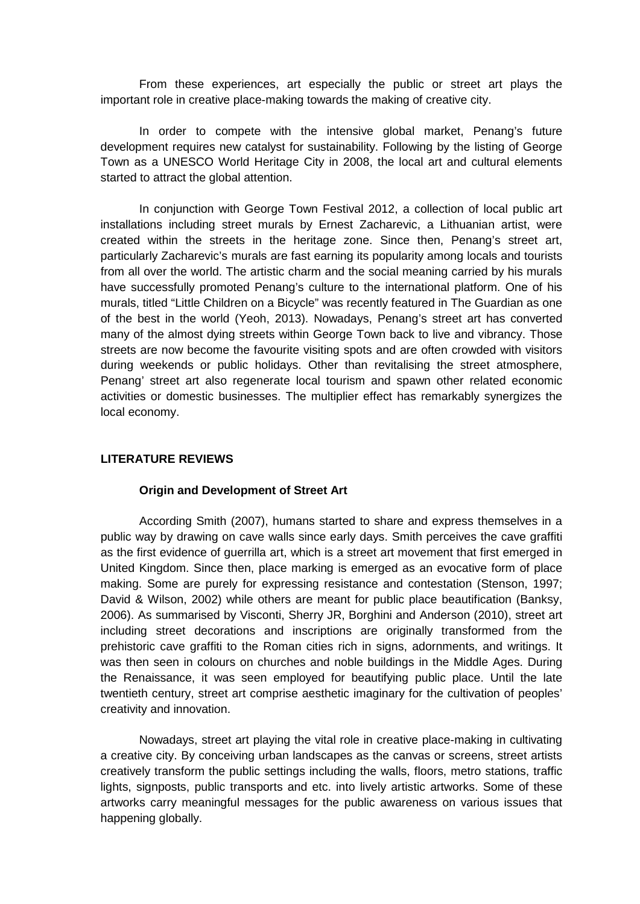From these experiences, art especially the public or street art plays the important role in creative place-making towards the making of creative city.

In order to compete with the intensive global market, Penang's future development requires new catalyst for sustainability. Following by the listing of George Town as a UNESCO World Heritage City in 2008, the local art and cultural elements started to attract the global attention.

In conjunction with George Town Festival 2012, a collection of local public art installations including street murals by Ernest Zacharevic, a Lithuanian artist, were created within the streets in the heritage zone. Since then, Penang's street art, particularly Zacharevic's murals are fast earning its popularity among locals and tourists from all over the world. The artistic charm and the social meaning carried by his murals have successfully promoted Penang's culture to the international platform. One of his murals, titled "Little Children on a Bicycle" was recently featured in The Guardian as one of the best in the world (Yeoh, 2013). Nowadays, Penang's street art has converted many of the almost dying streets within George Town back to live and vibrancy. Those streets are now become the favourite visiting spots and are often crowded with visitors during weekends or public holidays. Other than revitalising the street atmosphere, Penang' street art also regenerate local tourism and spawn other related economic activities or domestic businesses. The multiplier effect has remarkably synergizes the local economy.

## **LITERATURE REVIEWS**

#### **Origin and Development of Street Art**

According Smith (2007), humans started to share and express themselves in a public way by drawing on cave walls since early days. Smith perceives the cave graffiti as the first evidence of guerrilla art, which is a street art movement that first emerged in United Kingdom. Since then, place marking is emerged as an evocative form of place making. Some are purely for expressing resistance and contestation (Stenson, 1997; David & Wilson, 2002) while others are meant for public place beautification (Banksy, 2006). As summarised by Visconti, Sherry JR, Borghini and Anderson (2010), street art including street decorations and inscriptions are originally transformed from the prehistoric cave graffiti to the Roman cities rich in signs, adornments, and writings. It was then seen in colours on churches and noble buildings in the Middle Ages. During the Renaissance, it was seen employed for beautifying public place. Until the late twentieth century, street art comprise aesthetic imaginary for the cultivation of peoples' creativity and innovation.

Nowadays, street art playing the vital role in creative place-making in cultivating a creative city. By conceiving urban landscapes as the canvas or screens, street artists creatively transform the public settings including the walls, floors, metro stations, traffic lights, signposts, public transports and etc. into lively artistic artworks. Some of these artworks carry meaningful messages for the public awareness on various issues that happening globally.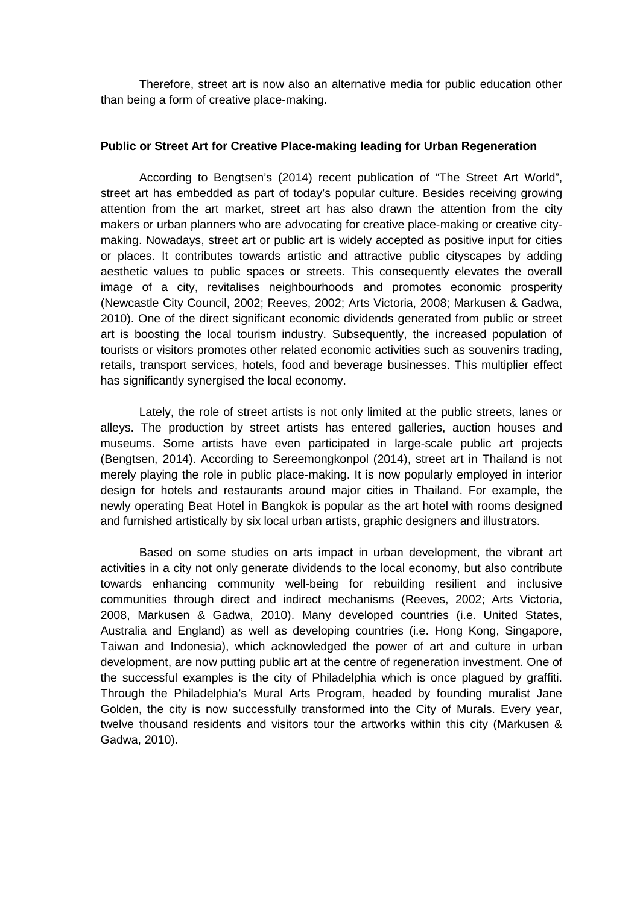Therefore, street art is now also an alternative media for public education other than being a form of creative place-making.

#### **Public or Street Art for Creative Place-making leading for Urban Regeneration**

According to Bengtsen's (2014) recent publication of "The Street Art World", street art has embedded as part of today's popular culture. Besides receiving growing attention from the art market, street art has also drawn the attention from the city makers or urban planners who are advocating for creative place-making or creative citymaking. Nowadays, street art or public art is widely accepted as positive input for cities or places. It contributes towards artistic and attractive public cityscapes by adding aesthetic values to public spaces or streets. This consequently elevates the overall image of a city, revitalises neighbourhoods and promotes economic prosperity (Newcastle City Council, 2002; Reeves, 2002; Arts Victoria, 2008; Markusen & Gadwa, 2010). One of the direct significant economic dividends generated from public or street art is boosting the local tourism industry. Subsequently, the increased population of tourists or visitors promotes other related economic activities such as souvenirs trading, retails, transport services, hotels, food and beverage businesses. This multiplier effect has significantly synergised the local economy.

Lately, the role of street artists is not only limited at the public streets, lanes or alleys. The production by street artists has entered galleries, auction houses and museums. Some artists have even participated in large-scale public art projects (Bengtsen, 2014). According to Sereemongkonpol (2014), street art in Thailand is not merely playing the role in public place-making. It is now popularly employed in interior design for hotels and restaurants around major cities in Thailand. For example, the newly operating Beat Hotel in Bangkok is popular as the art hotel with rooms designed and furnished artistically by six local urban artists, graphic designers and illustrators.

Based on some studies on arts impact in urban development, the vibrant art activities in a city not only generate dividends to the local economy, but also contribute towards enhancing community well-being for rebuilding resilient and inclusive communities through direct and indirect mechanisms (Reeves, 2002; Arts Victoria, 2008, Markusen & Gadwa, 2010). Many developed countries (i.e. United States, Australia and England) as well as developing countries (i.e. Hong Kong, Singapore, Taiwan and Indonesia), which acknowledged the power of art and culture in urban development, are now putting public art at the centre of regeneration investment. One of the successful examples is the city of Philadelphia which is once plagued by graffiti. Through the Philadelphia's Mural Arts Program, headed by founding muralist Jane Golden, the city is now successfully transformed into the City of Murals. Every year, twelve thousand residents and visitors tour the artworks within this city (Markusen & Gadwa, 2010).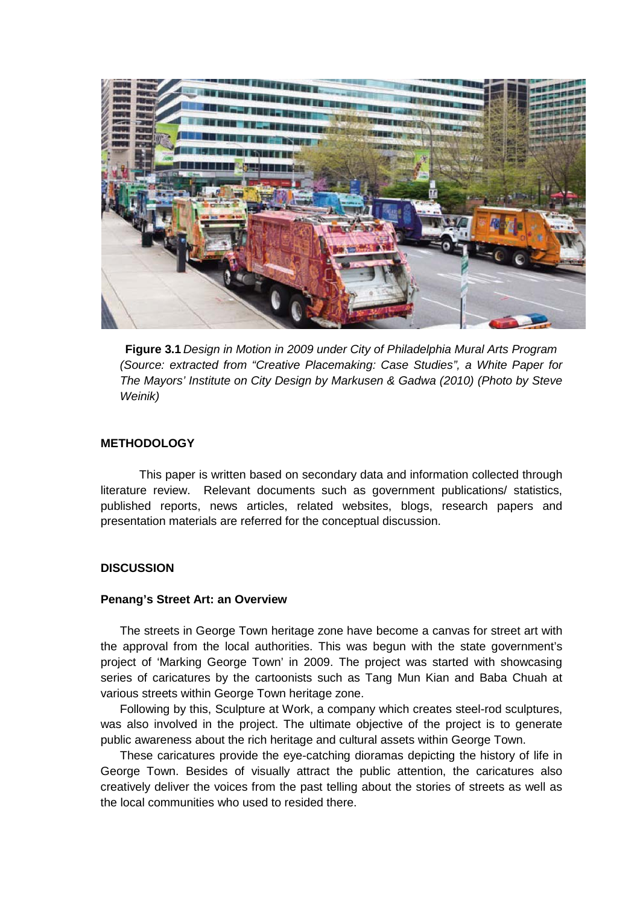

**Figure 3.1** *Design in Motion in 2009 under City of Philadelphia Mural Arts Program (Source: extracted from "Creative Placemaking: Case Studies", a White Paper for The Mayors' Institute on City Design by Markusen & Gadwa (2010) (Photo by Steve Weinik)*

#### **METHODOLOGY**

This paper is written based on secondary data and information collected through literature review. Relevant documents such as government publications/ statistics, published reports, news articles, related websites, blogs, research papers and presentation materials are referred for the conceptual discussion.

#### **DISCUSSION**

#### **Penang's Street Art: an Overview**

The streets in George Town heritage zone have become a canvas for street art with the approval from the local authorities. This was begun with the state government's project of 'Marking George Town' in 2009. The project was started with showcasing series of caricatures by the cartoonists such as Tang Mun Kian and Baba Chuah at various streets within George Town heritage zone.

Following by this, Sculpture at Work, a company which creates steel-rod sculptures, was also involved in the project. The ultimate objective of the project is to generate public awareness about the rich heritage and cultural assets within George Town.

These caricatures provide the eye-catching dioramas depicting the history of life in George Town. Besides of visually attract the public attention, the caricatures also creatively deliver the voices from the past telling about the stories of streets as well as the local communities who used to resided there.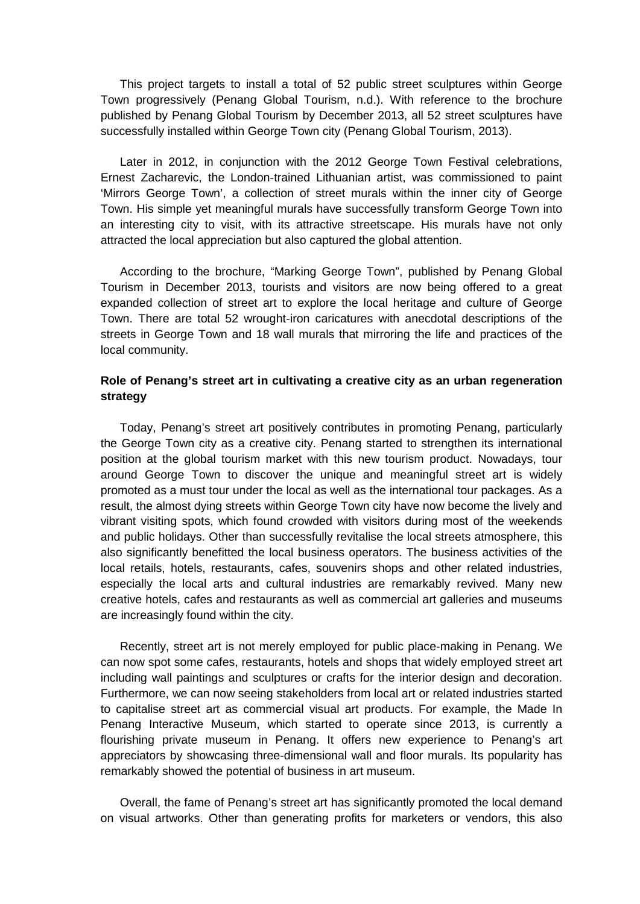This project targets to install a total of 52 public street sculptures within George Town progressively (Penang Global Tourism, n.d.). With reference to the brochure published by Penang Global Tourism by December 2013, all 52 street sculptures have successfully installed within George Town city (Penang Global Tourism, 2013).

Later in 2012, in conjunction with the 2012 George Town Festival celebrations, Ernest Zacharevic, the London-trained Lithuanian artist, was commissioned to paint 'Mirrors George Town', a collection of street murals within the inner city of George Town. His simple yet meaningful murals have successfully transform George Town into an interesting city to visit, with its attractive streetscape. His murals have not only attracted the local appreciation but also captured the global attention.

According to the brochure, "Marking George Town", published by Penang Global Tourism in December 2013, tourists and visitors are now being offered to a great expanded collection of street art to explore the local heritage and culture of George Town. There are total 52 wrought-iron caricatures with anecdotal descriptions of the streets in George Town and 18 wall murals that mirroring the life and practices of the local community.

## **Role of Penang's street art in cultivating a creative city as an urban regeneration strategy**

Today, Penang's street art positively contributes in promoting Penang, particularly the George Town city as a creative city. Penang started to strengthen its international position at the global tourism market with this new tourism product. Nowadays, tour around George Town to discover the unique and meaningful street art is widely promoted as a must tour under the local as well as the international tour packages. As a result, the almost dying streets within George Town city have now become the lively and vibrant visiting spots, which found crowded with visitors during most of the weekends and public holidays. Other than successfully revitalise the local streets atmosphere, this also significantly benefitted the local business operators. The business activities of the local retails, hotels, restaurants, cafes, souvenirs shops and other related industries, especially the local arts and cultural industries are remarkably revived. Many new creative hotels, cafes and restaurants as well as commercial art galleries and museums are increasingly found within the city.

Recently, street art is not merely employed for public place-making in Penang. We can now spot some cafes, restaurants, hotels and shops that widely employed street art including wall paintings and sculptures or crafts for the interior design and decoration. Furthermore, we can now seeing stakeholders from local art or related industries started to capitalise street art as commercial visual art products. For example, the Made In Penang Interactive Museum, which started to operate since 2013, is currently a flourishing private museum in Penang. It offers new experience to Penang's art appreciators by showcasing three-dimensional wall and floor murals. Its popularity has remarkably showed the potential of business in art museum.

Overall, the fame of Penang's street art has significantly promoted the local demand on visual artworks. Other than generating profits for marketers or vendors, this also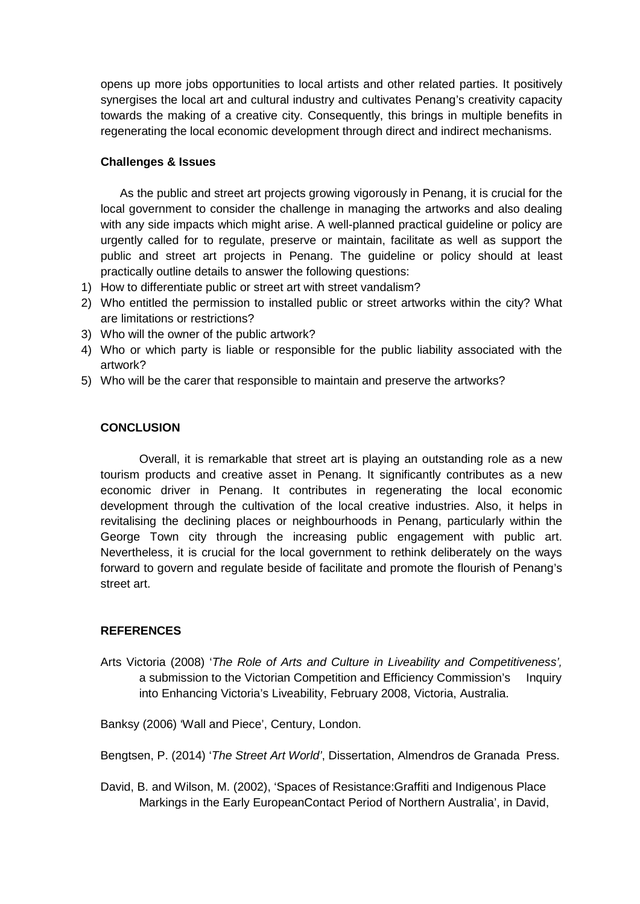opens up more jobs opportunities to local artists and other related parties. It positively synergises the local art and cultural industry and cultivates Penang's creativity capacity towards the making of a creative city. Consequently, this brings in multiple benefits in regenerating the local economic development through direct and indirect mechanisms.

# **Challenges & Issues**

As the public and street art projects growing vigorously in Penang, it is crucial for the local government to consider the challenge in managing the artworks and also dealing with any side impacts which might arise. A well-planned practical guideline or policy are urgently called for to regulate, preserve or maintain, facilitate as well as support the public and street art projects in Penang. The guideline or policy should at least practically outline details to answer the following questions:

- 1) How to differentiate public or street art with street vandalism?
- 2) Who entitled the permission to installed public or street artworks within the city? What are limitations or restrictions?
- 3) Who will the owner of the public artwork?
- 4) Who or which party is liable or responsible for the public liability associated with the artwork?
- 5) Who will be the carer that responsible to maintain and preserve the artworks?

# **CONCLUSION**

Overall, it is remarkable that street art is playing an outstanding role as a new tourism products and creative asset in Penang. It significantly contributes as a new economic driver in Penang. It contributes in regenerating the local economic development through the cultivation of the local creative industries. Also, it helps in revitalising the declining places or neighbourhoods in Penang, particularly within the George Town city through the increasing public engagement with public art. Nevertheless, it is crucial for the local government to rethink deliberately on the ways forward to govern and regulate beside of facilitate and promote the flourish of Penang's street art.

## **REFERENCES**

Arts Victoria (2008) '*The Role of Arts and Culture in Liveability and Competitiveness',*  a submission to the Victorian Competition and Efficiency Commission's Inquiry into Enhancing Victoria's Liveability, February 2008, Victoria, Australia.

Banksy (2006) 'Wall and Piece', Century, London.

Bengtsen, P. (2014) '*The Street Art World'*[, Dissertation, Almendros de Granada Press.](http://www.lunduniversity.lu.se/o.o.i.s?id=24732&postid=4392026) 

David, B. and Wilson, M. (2002), 'Spaces of Resistance:Graffiti and Indigenous Place Markings in the Early EuropeanContact Period of Northern Australia', in David,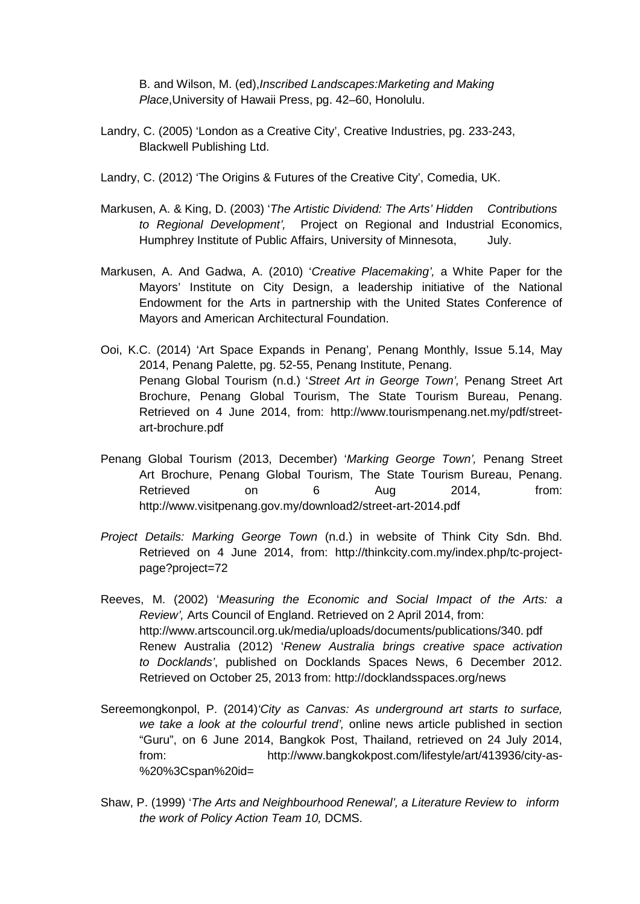B. and Wilson, M. (ed),*Inscribed Landscapes:Marketing and Making Place*,University of Hawaii Press, pg. 42–60, Honolulu.

- Landry, C. (2005) 'London as a Creative City', Creative Industries, pg. 233-243, Blackwell Publishing Ltd.
- Landry, C. (2012) 'The Origins & Futures of the Creative City', Comedia, UK.
- Markusen, A. & King, D. (2003) '*The Artistic Dividend: The Arts' Hidden Contributions to Regional Development',* Project on Regional and Industrial Economics, Humphrey Institute of Public Affairs, University of Minnesota, July.
- Markusen, A. And Gadwa, A. (2010) '*Creative Placemaking',* a White Paper for the Mayors' Institute on City Design, a leadership initiative of the National Endowment for the Arts in partnership with the United States Conference of Mayors and American Architectural Foundation.
- Ooi, K.C. (2014) 'Art Space Expands in Penang'*,* Penang Monthly, Issue 5.14, May 2014, Penang Palette, pg. 52-55, Penang Institute, Penang. Penang Global Tourism (n.d.) '*Street Art in George Town',* Penang Street Art Brochure, Penang Global Tourism, The State Tourism Bureau, Penang. Retrieved on 4 June 2014, from: http://www.tourismpenang.net.my/pdf/streetart-brochure.pdf
- Penang Global Tourism (2013, December) '*Marking George Town',* Penang Street Art Brochure, Penang Global Tourism, The State Tourism Bureau, Penang. Retrieved on 6 Aug 2014, from: http://www.visitpenang.gov.my/download2/street-art-2014.pdf
- *Project Details: Marking George Town* (n.d.) in website of Think City Sdn. Bhd. Retrieved on 4 June 2014, from: http://thinkcity.com.my/index.php/tc-projectpage?project=72
- Reeves, M. (2002) '*Measuring the Economic and Social Impact of the Arts: a Review',* Arts Council of England. Retrieved on 2 April 2014, from: http://www.artscouncil.org.uk/media/uploads/documents/publications/340. pdf Renew Australia (2012) '*Renew Australia brings creative space activation to Docklands'*, published on Docklands Spaces News, 6 December 2012. Retrieved on October 25, 2013 from: http://docklandsspaces.org/news
- Sereemongkonpol, P. (2014)*'City as Canvas: As underground art starts to surface, we take a look at the colourful trend',* online news article published in section "Guru", on 6 June 2014, Bangkok Post, Thailand, retrieved on 24 July 2014, from: http://www.bangkokpost.com/lifestyle/art/413936/city-as- %20%3Cspan%20id=
- Shaw, P. (1999) '*The Arts and Neighbourhood Renewal', a Literature Review to inform the work of Policy Action Team 10,* DCMS.